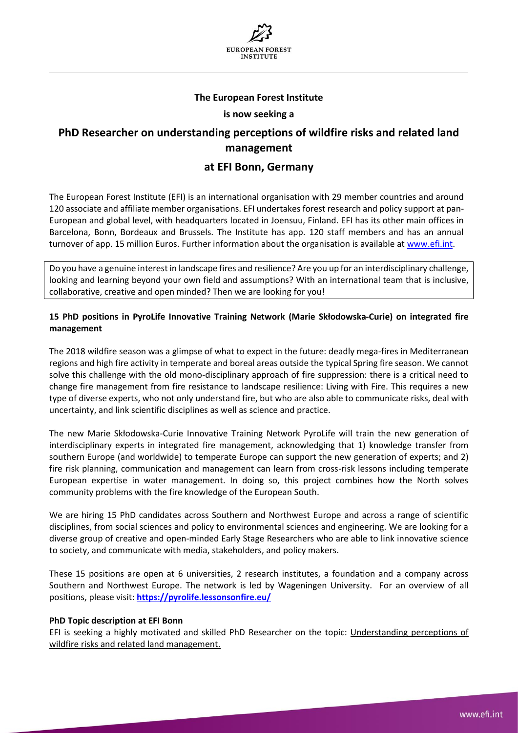

## **The European Forest Institute**

#### **is now seeking a**

# **PhD Researcher on understanding perceptions of wildfire risks and related land management**

# **at EFI Bonn, Germany**

The European Forest Institute (EFI) is an international organisation with 29 member countries and around 120 associate and affiliate member organisations. EFI undertakes forest research and policy support at pan-European and global level, with headquarters located in Joensuu, Finland. EFI has its other main offices in Barcelona, Bonn, Bordeaux and Brussels. The Institute has app. 120 staff members and has an annual turnover of app. 15 million Euros. Further information about the organisation is available at [www.efi.int.](http://www.efi.int/)

Do you have a genuine interest in landscape fires and resilience? Are you up for an interdisciplinary challenge, looking and learning beyond your own field and assumptions? With an international team that is inclusive, collaborative, creative and open minded? Then we are looking for you!

## **15 PhD positions in PyroLife Innovative Training Network (Marie Skłodowska-Curie) on integrated fire management**

The 2018 wildfire season was a glimpse of what to expect in the future: deadly mega-fires in Mediterranean regions and high fire activity in temperate and boreal areas outside the typical Spring fire season. We cannot solve this challenge with the old mono-disciplinary approach of fire suppression: there is a critical need to change fire management from fire resistance to landscape resilience: Living with Fire. This requires a new type of diverse experts, who not only understand fire, but who are also able to communicate risks, deal with uncertainty, and link scientific disciplines as well as science and practice.

The new Marie Skłodowska-Curie Innovative Training Network PyroLife will train the new generation of interdisciplinary experts in integrated fire management, acknowledging that 1) knowledge transfer from southern Europe (and worldwide) to temperate Europe can support the new generation of experts; and 2) fire risk planning, communication and management can learn from cross-risk lessons including temperate European expertise in water management. In doing so, this project combines how the North solves community problems with the fire knowledge of the European South.

We are hiring 15 PhD candidates across Southern and Northwest Europe and across a range of scientific disciplines, from social sciences and policy to environmental sciences and engineering. We are looking for a diverse group of creative and open-minded Early Stage Researchers who are able to link innovative science to society, and communicate with media, stakeholders, and policy makers.

These 15 positions are open at 6 universities, 2 research institutes, a foundation and a company across Southern and Northwest Europe. The network is led by Wageningen University. For an overview of all positions, please visit: **<https://pyrolife.lessonsonfire.eu/>**

#### **PhD Topic description at EFI Bonn**

EFI is seeking a highly motivated and skilled PhD Researcher on the topic: Understanding perceptions of wildfire risks and related land management.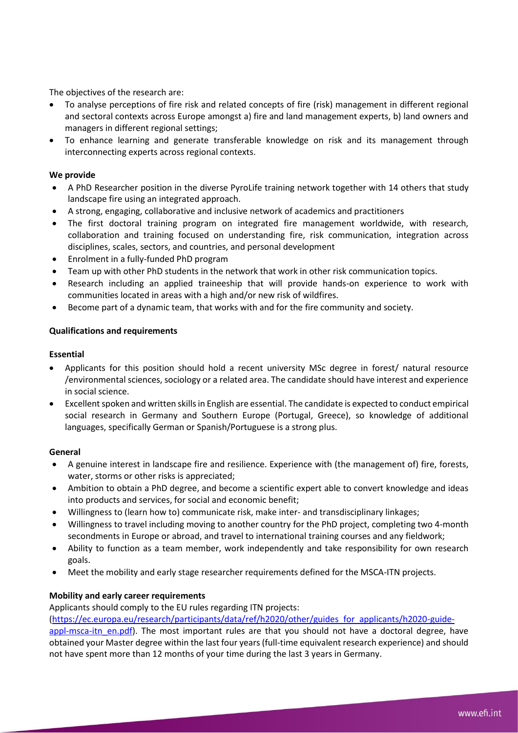The objectives of the research are:

- To analyse perceptions of fire risk and related concepts of fire (risk) management in different regional and sectoral contexts across Europe amongst a) fire and land management experts, b) land owners and managers in different regional settings;
- To enhance learning and generate transferable knowledge on risk and its management through interconnecting experts across regional contexts.

# **We provide**

- A PhD Researcher position in the diverse PyroLife training network together with 14 others that study landscape fire using an integrated approach.
- A strong, engaging, collaborative and inclusive network of academics and practitioners
- The first doctoral training program on integrated fire management worldwide, with research, collaboration and training focused on understanding fire, risk communication, integration across disciplines, scales, sectors, and countries, and personal development
- Enrolment in a fully-funded PhD program
- Team up with other PhD students in the network that work in other risk communication topics.
- Research including an applied traineeship that will provide hands-on experience to work with communities located in areas with a high and/or new risk of wildfires.
- Become part of a dynamic team, that works with and for the fire community and society.

#### **Qualifications and requirements**

#### **Essential**

- Applicants for this position should hold a recent university MSc degree in forest/ natural resource /environmental sciences, sociology or a related area. The candidate should have interest and experience in social science.
- Excellent spoken and written skills in English are essential. The candidate is expected to conduct empirical social research in Germany and Southern Europe (Portugal, Greece), so knowledge of additional languages, specifically German or Spanish/Portuguese is a strong plus.

#### **General**

- A genuine interest in landscape fire and resilience. Experience with (the management of) fire, forests, water, storms or other risks is appreciated;
- Ambition to obtain a PhD degree, and become a scientific expert able to convert knowledge and ideas into products and services, for social and economic benefit;
- Willingness to (learn how to) communicate risk, make inter- and transdisciplinary linkages;
- Willingness to travel including moving to another country for the PhD project, completing two 4-month secondments in Europe or abroad, and travel to international training courses and any fieldwork;
- Ability to function as a team member, work independently and take responsibility for own research goals.
- Meet the mobility and early stage researcher requirements defined for the MSCA-ITN projects.

#### **Mobility and early career requirements**

Applicants should comply to the EU rules regarding ITN projects:

[\(https://ec.europa.eu/research/participants/data/ref/h2020/other/guides\\_for\\_applicants/h2020-guide-](https://ec.europa.eu/research/participants/data/ref/h2020/other/guides_for_applicants/h2020-guide-appl-msca-itn_en.pdf)

[appl-msca-itn\\_en.pdf\)](https://ec.europa.eu/research/participants/data/ref/h2020/other/guides_for_applicants/h2020-guide-appl-msca-itn_en.pdf). The most important rules are that you should not have a doctoral degree, have obtained your Master degree within the last four years (full-time equivalent research experience) and should not have spent more than 12 months of your time during the last 3 years in Germany.